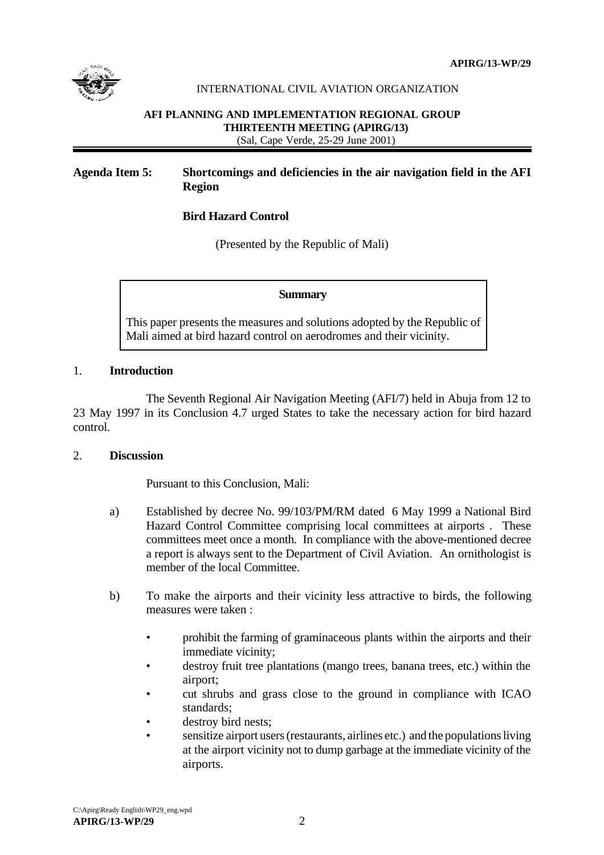

### INTERNATIONAL CIVIL AVIATION ORGANIZATION

#### **AFI PLANNING AND IMPLEMENTATION REGIONAL GROUP THIRTEENTH MEETING (APIRG/13)** (Sal, Cape Verde, 25-29 June 2001)

# **Agenda Item 5: Shortcomings and deficiencies in the air navigation field in the AFI Region**

## **Bird Hazard Control**

(Presented by the Republic of Mali)

#### **Summary**

This paper presents the measures and solutions adopted by the Republic of Mali aimed at bird hazard control on aerodromes and their vicinity.

### 1. **Introduction**

The Seventh Regional Air Navigation Meeting (AFI/7) held in Abuja from 12 to 23 May 1997 in its Conclusion 4.7 urged States to take the necessary action for bird hazard control.

## 2. **Discussion**

Pursuant to this Conclusion, Mali:

- a) Established by decree No. 99/103/PM/RM dated 6 May 1999 a National Bird Hazard Control Committee comprising local committees at airports . These committees meet once a month. In compliance with the above-mentioned decree a report is always sent to the Department of Civil Aviation. An ornithologist is member of the local Committee.
- b) To make the airports and their vicinity less attractive to birds, the following measures were taken :
	- prohibit the farming of graminaceous plants within the airports and their immediate vicinity;
	- destroy fruit tree plantations (mango trees, banana trees, etc.) within the airport;
	- cut shrubs and grass close to the ground in compliance with ICAO standards;
	- destroy bird nests:
	- sensitize airport users (restaurants, airlines etc.) and the populations living at the airport vicinity not to dump garbage at the immediate vicinity of the airports.